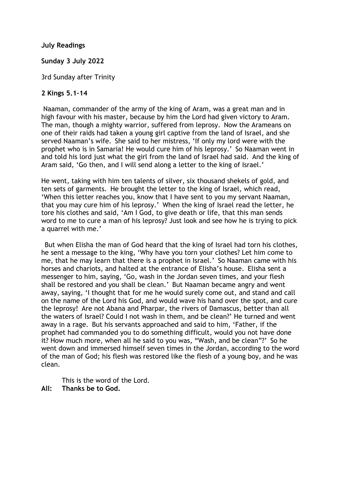## **July Readings**

## **Sunday 3 July 2022**

3rd Sunday after Trinity

## **2 Kings 5.1–14**

Naaman, commander of the army of the king of Aram, was a great man and in high favour with his master, because by him the Lord had given victory to Aram. The man, though a mighty warrior, suffered from leprosy. Now the Arameans on one of their raids had taken a young girl captive from the land of Israel, and she served Naaman's wife. She said to her mistress, 'If only my lord were with the prophet who is in Samaria! He would cure him of his leprosy.' So Naaman went in and told his lord just what the girl from the land of Israel had said. And the king of Aram said, 'Go then, and I will send along a letter to the king of Israel.'

He went, taking with him ten talents of silver, six thousand shekels of gold, and ten sets of garments. He brought the letter to the king of Israel, which read, 'When this letter reaches you, know that I have sent to you my servant Naaman, that you may cure him of his leprosy.' When the king of Israel read the letter, he tore his clothes and said, 'Am I God, to give death or life, that this man sends word to me to cure a man of his leprosy? Just look and see how he is trying to pick a quarrel with me.'

But when Elisha the man of God heard that the king of Israel had torn his clothes, he sent a message to the king, 'Why have you torn your clothes? Let him come to me, that he may learn that there is a prophet in Israel.' So Naaman came with his horses and chariots, and halted at the entrance of Elisha's house. Elisha sent a messenger to him, saying, 'Go, wash in the Jordan seven times, and your flesh shall be restored and you shall be clean.' But Naaman became angry and went away, saying, 'I thought that for me he would surely come out, and stand and call on the name of the Lord his God, and would wave his hand over the spot, and cure the leprosy! Are not Abana and Pharpar, the rivers of Damascus, better than all the waters of Israel? Could I not wash in them, and be clean?' He turned and went away in a rage. But his servants approached and said to him, 'Father, if the prophet had commanded you to do something difficult, would you not have done it? How much more, when all he said to you was, "Wash, and be clean"?' So he went down and immersed himself seven times in the Jordan, according to the word of the man of God; his flesh was restored like the flesh of a young boy, and he was clean.

This is the word of the Lord. **All: Thanks be to God.**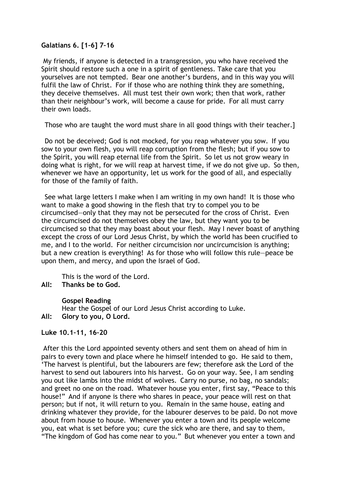## **Galatians 6. [1–6] 7–16**

My friends, if anyone is detected in a transgression, you who have received the Spirit should restore such a one in a spirit of gentleness. Take care that you yourselves are not tempted. Bear one another's burdens, and in this way you will fulfil the law of Christ. For if those who are nothing think they are something, they deceive themselves. All must test their own work; then that work, rather than their neighbour's work, will become a cause for pride. For all must carry their own loads.

Those who are taught the word must share in all good things with their teacher.]

Do not be deceived; God is not mocked, for you reap whatever you sow. If you sow to your own flesh, you will reap corruption from the flesh; but if you sow to the Spirit, you will reap eternal life from the Spirit. So let us not grow weary in doing what is right, for we will reap at harvest time, if we do not give up. So then, whenever we have an opportunity, let us work for the good of all, and especially for those of the family of faith.

See what large letters I make when I am writing in my own hand! It is those who want to make a good showing in the flesh that try to compel you to be circumcised—only that they may not be persecuted for the cross of Christ. Even the circumcised do not themselves obey the law, but they want you to be circumcised so that they may boast about your flesh. May I never boast of anything except the cross of our Lord Jesus Christ, by which the world has been crucified to me, and I to the world. For neither circumcision nor uncircumcision is anything; but a new creation is everything! As for those who will follow this rule—peace be upon them, and mercy, and upon the Israel of God.

This is the word of the Lord.

**All: Thanks be to God.**

## **Gospel Reading**

Hear the Gospel of our Lord Jesus Christ according to Luke. **All: Glory to you, O Lord.**

## **Luke 10.1–11, 16–20**

After this the Lord appointed seventy others and sent them on ahead of him in pairs to every town and place where he himself intended to go. He said to them, 'The harvest is plentiful, but the labourers are few; therefore ask the Lord of the harvest to send out labourers into his harvest. Go on your way. See, I am sending you out like lambs into the midst of wolves. Carry no purse, no bag, no sandals; and greet no one on the road. Whatever house you enter, first say, "Peace to this house!" And if anyone is there who shares in peace, your peace will rest on that person; but if not, it will return to you. Remain in the same house, eating and drinking whatever they provide, for the labourer deserves to be paid. Do not move about from house to house. Whenever you enter a town and its people welcome you, eat what is set before you; cure the sick who are there, and say to them, "The kingdom of God has come near to you." But whenever you enter a town and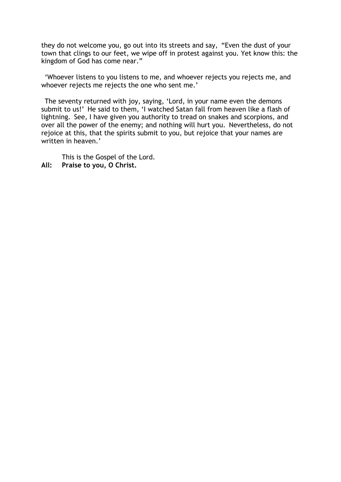they do not welcome you, go out into its streets and say, "Even the dust of your town that clings to our feet, we wipe off in protest against you. Yet know this: the kingdom of God has come near."

'Whoever listens to you listens to me, and whoever rejects you rejects me, and whoever rejects me rejects the one who sent me.'

The seventy returned with joy, saying, 'Lord, in your name even the demons submit to us!' He said to them, 'I watched Satan fall from heaven like a flash of lightning. See, I have given you authority to tread on snakes and scorpions, and over all the power of the enemy; and nothing will hurt you. Nevertheless, do not rejoice at this, that the spirits submit to you, but rejoice that your names are written in heaven.'

This is the Gospel of the Lord. **All: Praise to you, O Christ.**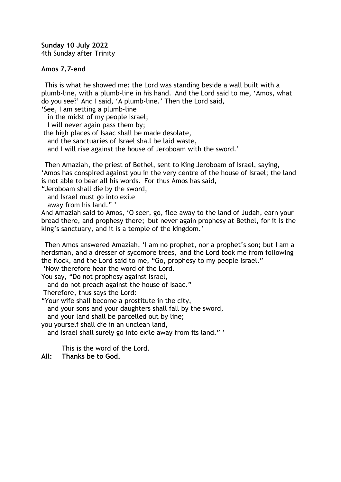**Sunday 10 July 2022** 4th Sunday after Trinity

#### **Amos 7.7–end**

This is what he showed me: the Lord was standing beside a wall built with a plumb-line, with a plumb-line in his hand. And the Lord said to me, 'Amos, what do you see?' And I said, 'A plumb-line.' Then the Lord said,

'See, I am setting a plumb-line

in the midst of my people Israel;

I will never again pass them by;

the high places of Isaac shall be made desolate,

and the sanctuaries of Israel shall be laid waste,

and I will rise against the house of Jeroboam with the sword.'

Then Amaziah, the priest of Bethel, sent to King Jeroboam of Israel, saying, 'Amos has conspired against you in the very centre of the house of Israel; the land is not able to bear all his words. For thus Amos has said,

"Jeroboam shall die by the sword,

and Israel must go into exile

away from his land." '

And Amaziah said to Amos, 'O seer, go, flee away to the land of Judah, earn your bread there, and prophesy there; but never again prophesy at Bethel, for it is the king's sanctuary, and it is a temple of the kingdom.'

Then Amos answered Amaziah, 'I am no prophet, nor a prophet's son; but I am a herdsman, and a dresser of sycomore trees, and the Lord took me from following the flock, and the Lord said to me, "Go, prophesy to my people Israel."

'Now therefore hear the word of the Lord.

You say, "Do not prophesy against Israel,

and do not preach against the house of Isaac."

Therefore, thus says the Lord:

"Your wife shall become a prostitute in the city,

and your sons and your daughters shall fall by the sword,

and your land shall be parcelled out by line;

you yourself shall die in an unclean land,

and Israel shall surely go into exile away from its land."'

This is the word of the Lord.

**All: Thanks be to God.**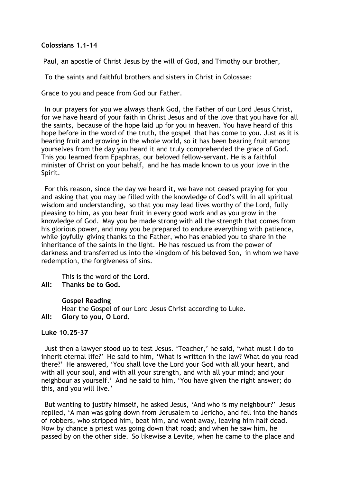## **Colossians 1.1–14**

Paul, an apostle of Christ Jesus by the will of God, and Timothy our brother,

To the saints and faithful brothers and sisters in Christ in Colossae:

Grace to you and peace from God our Father.

In our prayers for you we always thank God, the Father of our Lord Jesus Christ, for we have heard of your faith in Christ Jesus and of the love that you have for all the saints, because of the hope laid up for you in heaven. You have heard of this hope before in the word of the truth, the gospel that has come to you. Just as it is bearing fruit and growing in the whole world, so it has been bearing fruit among yourselves from the day you heard it and truly comprehended the grace of God. This you learned from Epaphras, our beloved fellow-servant. He is a faithful minister of Christ on your behalf, and he has made known to us your love in the Spirit.

For this reason, since the day we heard it, we have not ceased praying for you and asking that you may be filled with the knowledge of God's will in all spiritual wisdom and understanding, so that you may lead lives worthy of the Lord, fully pleasing to him, as you bear fruit in every good work and as you grow in the knowledge of God. May you be made strong with all the strength that comes from his glorious power, and may you be prepared to endure everything with patience, while joyfully giving thanks to the Father, who has enabled you to share in the inheritance of the saints in the light. He has rescued us from the power of darkness and transferred us into the kingdom of his beloved Son, in whom we have redemption, the forgiveness of sins.

This is the word of the Lord.

**All: Thanks be to God.**

## **Gospel Reading**

Hear the Gospel of our Lord Jesus Christ according to Luke.

**All: Glory to you, O Lord.**

## **Luke 10.25–37**

Just then a lawyer stood up to test Jesus. 'Teacher,' he said, 'what must I do to inherit eternal life?' He said to him, 'What is written in the law? What do you read there?' He answered, 'You shall love the Lord your God with all your heart, and with all your soul, and with all your strength, and with all your mind; and your neighbour as yourself.' And he said to him, 'You have given the right answer; do this, and you will live.'

But wanting to justify himself, he asked Jesus, 'And who is my neighbour?' Jesus replied, 'A man was going down from Jerusalem to Jericho, and fell into the hands of robbers, who stripped him, beat him, and went away, leaving him half dead. Now by chance a priest was going down that road; and when he saw him, he passed by on the other side. So likewise a Levite, when he came to the place and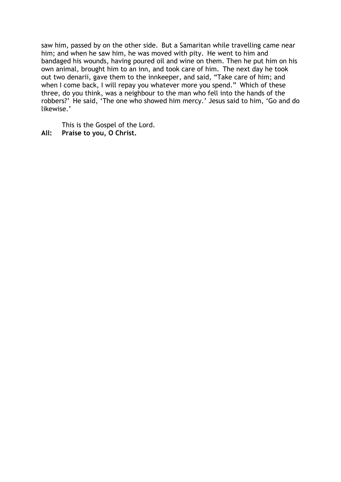saw him, passed by on the other side. But a Samaritan while travelling came near him; and when he saw him, he was moved with pity. He went to him and bandaged his wounds, having poured oil and wine on them. Then he put him on his own animal, brought him to an inn, and took care of him. The next day he took out two denarii, gave them to the innkeeper, and said, "Take care of him; and when I come back, I will repay you whatever more you spend." Which of these three, do you think, was a neighbour to the man who fell into the hands of the robbers?' He said, 'The one who showed him mercy.' Jesus said to him, 'Go and do likewise.'

This is the Gospel of the Lord.

**All: Praise to you, O Christ.**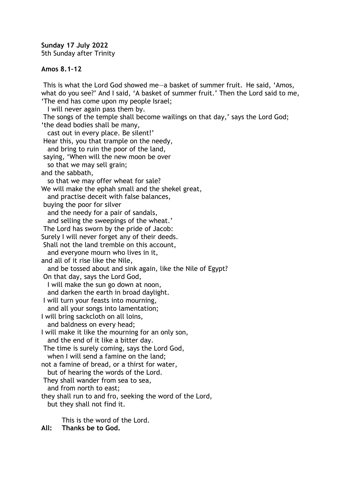**Sunday 17 July 2022** 5th Sunday after Trinity

#### **Amos 8.1–12**

This is what the Lord God showed me—a basket of summer fruit. He said, 'Amos, what do you see?' And I said, 'A basket of summer fruit.' Then the Lord said to me, 'The end has come upon my people Israel; I will never again pass them by. The songs of the temple shall become wailings on that day,' says the Lord God; 'the dead bodies shall be many, cast out in every place. Be silent!' Hear this, you that trample on the needy, and bring to ruin the poor of the land, saying, 'When will the new moon be over so that we may sell grain; and the sabbath, so that we may offer wheat for sale? We will make the ephah small and the shekel great, and practise deceit with false balances, buying the poor for silver and the needy for a pair of sandals, and selling the sweepings of the wheat.' The Lord has sworn by the pride of Jacob: Surely I will never forget any of their deeds. Shall not the land tremble on this account, and everyone mourn who lives in it, and all of it rise like the Nile, and be tossed about and sink again, like the Nile of Egypt? On that day, says the Lord God, I will make the sun go down at noon, and darken the earth in broad daylight. I will turn your feasts into mourning, and all your songs into lamentation; I will bring sackcloth on all loins, and baldness on every head; I will make it like the mourning for an only son, and the end of it like a bitter day. The time is surely coming, says the Lord God, when I will send a famine on the land; not a famine of bread, or a thirst for water, but of hearing the words of the Lord. They shall wander from sea to sea, and from north to east; they shall run to and fro, seeking the word of the Lord, but they shall not find it.

This is the word of the Lord. **All: Thanks be to God.**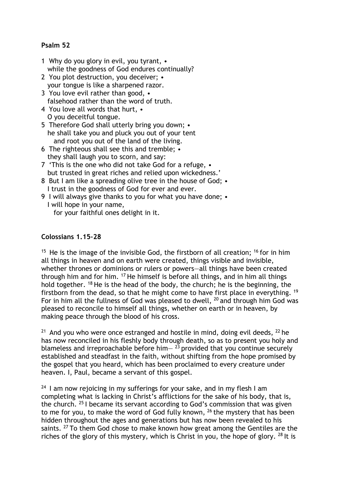## **Psalm 52**

- 1 Why do you glory in evil, you tyrant, while the goodness of God endures continually?
- 2 You plot destruction, you deceiver; your tongue is like a sharpened razor.
- 3 You love evil rather than good, falsehood rather than the word of truth. 4 You love all words that hurt. •
- O you deceitful tongue.
- 5 Therefore God shall utterly bring you down; he shall take you and pluck you out of your tent and root you out of the land of the living.
- 6 The righteous shall see this and tremble; they shall laugh you to scorn, and say:
- 7 'This is the one who did not take God for a refuge, but trusted in great riches and relied upon wickedness.'
- 8 But I am like a spreading olive tree in the house of God; I trust in the goodness of God for ever and ever.
- 9 I will always give thanks to you for what you have done; I will hope in your name, for your faithful ones delight in it.

## **Colossians 1.15–28**

 $15$  He is the image of the invisible God, the firstborn of all creation;  $16$  for in him all things in heaven and on earth were created, things visible and invisible, whether thrones or dominions or rulers or powers—all things have been created through him and for him.  $17$  He himself is before all things, and in him all things hold together. <sup>18</sup> He is the head of the body, the church; he is the beginning, the firstborn from the dead, so that he might come to have first place in everything. 19 For in him all the fullness of God was pleased to dwell, <sup>20</sup> and through him God was pleased to reconcile to himself all things, whether on earth or in heaven, by making peace through the blood of his cross.

<sup>21</sup> And you who were once estranged and hostile in mind, doing evil deeds,  $^{22}$  he has now reconciled in his fleshly body through death, so as to present you holy and blameless and irreproachable before him— $23$  provided that you continue securely established and steadfast in the faith, without shifting from the hope promised by the gospel that you heard, which has been proclaimed to every creature under heaven. I, Paul, became a servant of this gospel.

 $24$  I am now rejoicing in my sufferings for your sake, and in my flesh I am completing what is lacking in Christ's afflictions for the sake of his body, that is, the church. 25 I became its servant according to God's commission that was given to me for you, to make the word of God fully known,  $^{26}$  the mystery that has been hidden throughout the ages and generations but has now been revealed to his saints. <sup>27</sup> To them God chose to make known how great among the Gentiles are the riches of the glory of this mystery, which is Christ in you, the hope of glory.  $^{28}$  It is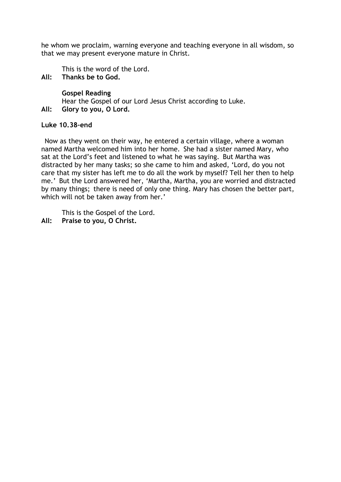he whom we proclaim, warning everyone and teaching everyone in all wisdom, so that we may present everyone mature in Christ.

This is the word of the Lord.

**All: Thanks be to God.**

**Gospel Reading**

Hear the Gospel of our Lord Jesus Christ according to Luke.

**All: Glory to you, O Lord.**

## **Luke 10.38–end**

Now as they went on their way, he entered a certain village, where a woman named Martha welcomed him into her home. She had a sister named Mary, who sat at the Lord's feet and listened to what he was saying. But Martha was distracted by her many tasks; so she came to him and asked, 'Lord, do you not care that my sister has left me to do all the work by myself? Tell her then to help me.' But the Lord answered her, 'Martha, Martha, you are worried and distracted by many things; there is need of only one thing. Mary has chosen the better part, which will not be taken away from her.'

This is the Gospel of the Lord.

**All: Praise to you, O Christ.**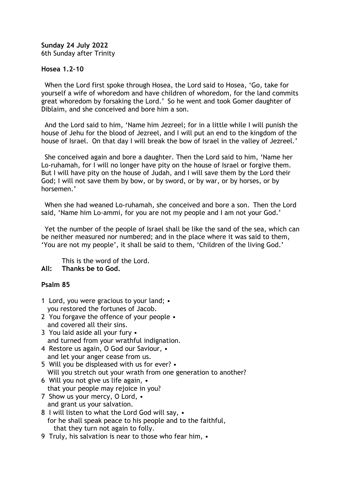#### **Sunday 24 July 2022** 6th Sunday after Trinity

#### **Hosea 1.2–10**

When the Lord first spoke through Hosea, the Lord said to Hosea, 'Go, take for yourself a wife of whoredom and have children of whoredom, for the land commits great whoredom by forsaking the Lord.' So he went and took Gomer daughter of Diblaim, and she conceived and bore him a son.

And the Lord said to him, 'Name him Jezreel; for in a little while I will punish the house of Jehu for the blood of Jezreel, and I will put an end to the kingdom of the house of Israel. On that day I will break the bow of Israel in the valley of Jezreel.'

She conceived again and bore a daughter. Then the Lord said to him, 'Name her Lo-ruhamah, for I will no longer have pity on the house of Israel or forgive them. But I will have pity on the house of Judah, and I will save them by the Lord their God; I will not save them by bow, or by sword, or by war, or by horses, or by horsemen.'

When she had weaned Lo-ruhamah, she conceived and bore a son. Then the Lord said, 'Name him Lo-ammi, for you are not my people and I am not your God.'

Yet the number of the people of Israel shall be like the sand of the sea, which can be neither measured nor numbered; and in the place where it was said to them, 'You are not my people', it shall be said to them, 'Children of the living God.'

This is the word of the Lord.

## **All: Thanks be to God.**

## **Psalm 85**

- 1 Lord, you were gracious to your land; you restored the fortunes of Jacob.
- 2 You forgave the offence of your people and covered all their sins.
- 3 You laid aside all your fury and turned from your wrathful indignation.
- 4 Restore us again, O God our Saviour, and let your anger cease from us.
- 5 Will you be displeased with us for ever? Will you stretch out your wrath from one generation to another?
- 6 Will you not give us life again, that your people may rejoice in you?
- 7 Show us your mercy, O Lord, and grant us your salvation.
- 8 I will listen to what the Lord God will say, for he shall speak peace to his people and to the faithful, that they turn not again to folly.
- 9 Truly, his salvation is near to those who fear him,  $\bullet$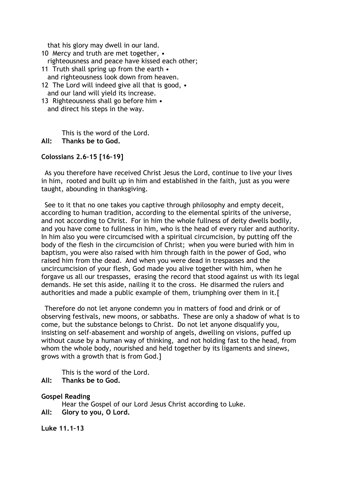that his glory may dwell in our land.

- 10 Mercy and truth are met together, •
- righteousness and peace have kissed each other;
- 11 Truth shall spring up from the earth and righteousness look down from heaven.
- 12 The Lord will indeed give all that is good. and our land will yield its increase.
- 13 Righteousness shall go before him and direct his steps in the way.

This is the word of the Lord. **All: Thanks be to God.**

# **Colossians 2.6–15 [16–19]**

As you therefore have received Christ Jesus the Lord, continue to live your lives in him, rooted and built up in him and established in the faith, just as you were taught, abounding in thanksgiving.

See to it that no one takes you captive through philosophy and empty deceit, according to human tradition, according to the elemental spirits of the universe, and not according to Christ. For in him the whole fullness of deity dwells bodily, and you have come to fullness in him, who is the head of every ruler and authority. In him also you were circumcised with a spiritual circumcision, by putting off the body of the flesh in the circumcision of Christ; when you were buried with him in baptism, you were also raised with him through faith in the power of God, who raised him from the dead. And when you were dead in trespasses and the uncircumcision of your flesh, God made you alive together with him, when he forgave us all our trespasses, erasing the record that stood against us with its legal demands. He set this aside, nailing it to the cross. He disarmed the rulers and authorities and made a public example of them, triumphing over them in it.[

Therefore do not let anyone condemn you in matters of food and drink or of observing festivals, new moons, or sabbaths. These are only a shadow of what is to come, but the substance belongs to Christ. Do not let anyone disqualify you, insisting on self-abasement and worship of angels, dwelling on visions, puffed up without cause by a human way of thinking, and not holding fast to the head, from whom the whole body, nourished and held together by its ligaments and sinews, grows with a growth that is from God.]

This is the word of the Lord.

**All: Thanks be to God.**

## **Gospel Reading**

Hear the Gospel of our Lord Jesus Christ according to Luke. **All: Glory to you, O Lord.**

**Luke 11.1–13**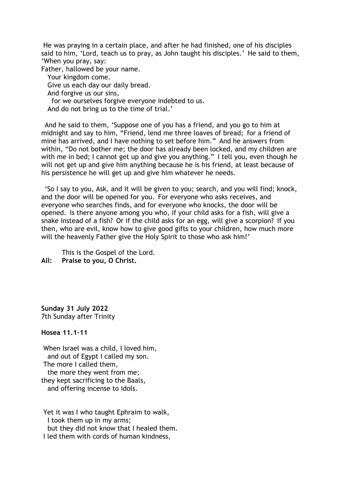He was praying in a certain place, and after he had finished, one of his disciples said to him, 'Lord, teach us to pray, as John taught his disciples.' He said to them, 'When you pray, say:

Father, hallowed be your name.

Your kingdom come.

Give us each day our daily bread.

And forgive us our sins,

for we ourselves forgive everyone indebted to us.

And do not bring us to the time of trial.'

And he said to them, 'Suppose one of you has a friend, and you go to him at midnight and say to him, "Friend, lend me three loaves of bread; for a friend of mine has arrived, and I have nothing to set before him." And he answers from within, "Do not bother me; the door has already been locked, and my children are with me in bed; I cannot get up and give you anything." I tell you, even though he will not get up and give him anything because he is his friend, at least because of his persistence he will get up and give him whatever he needs.

'So I say to you, Ask, and it will be given to you; search, and you will find; knock, and the door will be opened for you. For everyone who asks receives, and everyone who searches finds, and for everyone who knocks, the door will be opened. Is there anyone among you who, if your child asks for a fish, will give a snake instead of a fish? Or if the child asks for an egg, will give a scorpion? If you then, who are evil, know how to give good gifts to your children, how much more will the heavenly Father give the Holy Spirit to those who ask him!'

This is the Gospel of the Lord. **All: Praise to you, O Christ.**

**Sunday 31 July 2022** 7th Sunday after Trinity

**Hosea 11.1–11**

When Israel was a child, I loved him, and out of Egypt I called my son. The more I called them, the more they went from me; they kept sacrificing to the Baals, and offering incense to idols.

Yet it was I who taught Ephraim to walk, I took them up in my arms; but they did not know that I healed them. I led them with cords of human kindness,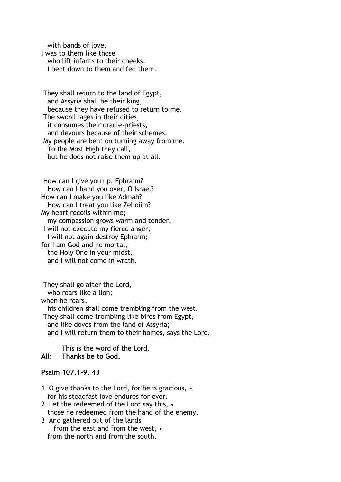with bands of love. I was to them like those who lift infants to their cheeks. I bent down to them and fed them.

They shall return to the land of Egypt, and Assyria shall be their king, because they have refused to return to me. The sword rages in their cities, it consumes their oracle-priests, and devours because of their schemes. My people are bent on turning away from me. To the Most High they call, but he does not raise them up at all.

How can I give you up, Ephraim? How can I hand you over, O Israel? How can I make you like Admah? How can I treat you like Zeboiim? My heart recoils within me; my compassion grows warm and tender. I will not execute my fierce anger; I will not again destroy Ephraim; for I am God and no mortal, the Holy One in your midst, and I will not come in wrath.

They shall go after the Lord, who roars like a lion; when he roars, his children shall come trembling from the west. They shall come trembling like birds from Egypt, and like doves from the land of Assyria; and I will return them to their homes, says the Lord.

This is the word of the Lord. **All: Thanks be to God.**

#### **Psalm 107.1–9, 43**

- 1 O give thanks to the Lord, for he is gracious, for his steadfast love endures for ever.
- 2 Let the redeemed of the Lord say this, those he redeemed from the hand of the enemy,
- 3 And gathered out of the lands from the east and from the west, • from the north and from the south.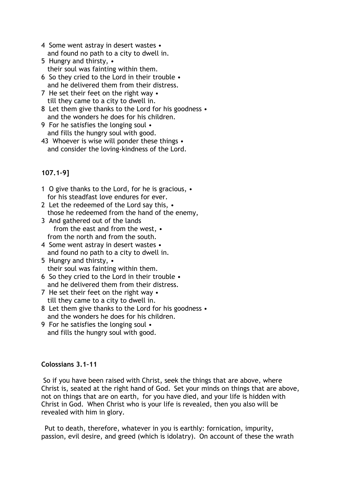- 4 Some went astray in desert wastes and found no path to a city to dwell in.
- 5 Hungry and thirsty, their soul was fainting within them.
- 6 So they cried to the Lord in their trouble and he delivered them from their distress.
- 7 He set their feet on the right way till they came to a city to dwell in.
- 8 Let them give thanks to the Lord for his goodness and the wonders he does for his children.
- 9 For he satisfies the longing soul and fills the hungry soul with good.
- 43 Whoever is wise will ponder these things and consider the loving-kindness of the Lord.

## **107.1–9]**

- 1 O give thanks to the Lord, for he is gracious, for his steadfast love endures for ever.
- 2 Let the redeemed of the Lord say this,  $\cdot$ those he redeemed from the hand of the enemy,
- 3 And gathered out of the lands from the east and from the west, • from the north and from the south.
- 4 Some went astray in desert wastes and found no path to a city to dwell in.
- 5 Hungry and thirsty, their soul was fainting within them.
- 6 So they cried to the Lord in their trouble and he delivered them from their distress.
- 7 He set their feet on the right way till they came to a city to dwell in.
- 8 Let them give thanks to the Lord for his goodness and the wonders he does for his children.
- 9 For he satisfies the longing soul and fills the hungry soul with good.

## **Colossians 3.1–11**

So if you have been raised with Christ, seek the things that are above, where Christ is, seated at the right hand of God. Set your minds on things that are above, not on things that are on earth, for you have died, and your life is hidden with Christ in God. When Christ who is your life is revealed, then you also will be revealed with him in glory.

Put to death, therefore, whatever in you is earthly: fornication, impurity, passion, evil desire, and greed (which is idolatry). On account of these the wrath